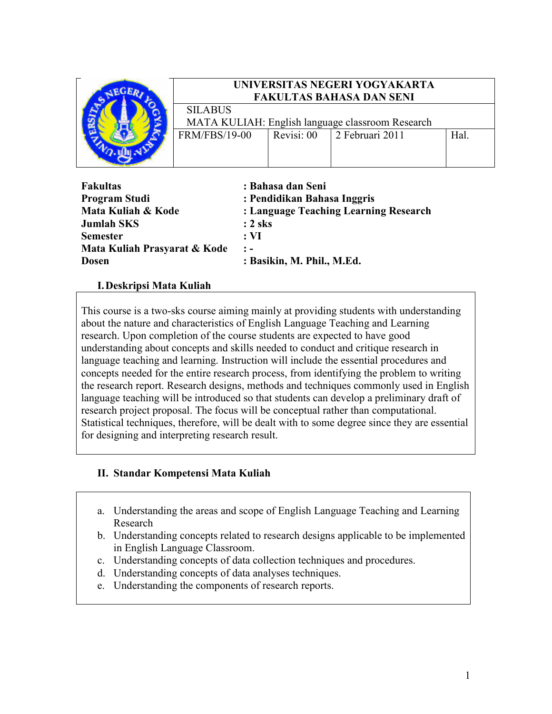

## UNIVERSITAS NEGERI YOGYAKARTA FAKULTAS BAHASA DAN SENI

SILABUS MATA KULIAH: English language classroom Research<br>RM/FBS/19-00 Revisi: 00 2 Februari 2011  $FRM/FBS/19-00$  Revisi: 00 2 Februari 2011 Hal.

| : Bahasa dan Seni                     |
|---------------------------------------|
| : Pendidikan Bahasa Inggris           |
| : Language Teaching Learning Research |
| $: 2$ sks                             |
| $:V\mathbf{I}$                        |
| $\mathbf{r}$ $\mathbf{r}$             |
| : Basikin, M. Phil., M.Ed.            |
|                                       |

## I.Deskripsi Mata Kuliah

This course is a two-sks course aiming mainly at providing students with understanding about the nature and characteristics of English Language Teaching and Learning research. Upon completion of the course students are expected to have good understanding about concepts and skills needed to conduct and critique research in language teaching and learning. Instruction will include the essential procedures and concepts needed for the entire research process, from identifying the problem to writing the research report. Research designs, methods and techniques commonly used in English language teaching will be introduced so that students can develop a preliminary draft of research project proposal. The focus will be conceptual rather than computational. Statistical techniques, therefore, will be dealt with to some degree since they are essential for designing and interpreting research result.

### II. Standar Kompetensi Mata Kuliah

- a. Understanding the areas and scope of English Language Teaching and Learning Research
- b. Understanding concepts related to research designs applicable to be implemented in English Language Classroom.
- c. Understanding concepts of data collection techniques and procedures.
- d. Understanding concepts of data analyses techniques.
- e. Understanding the components of research reports.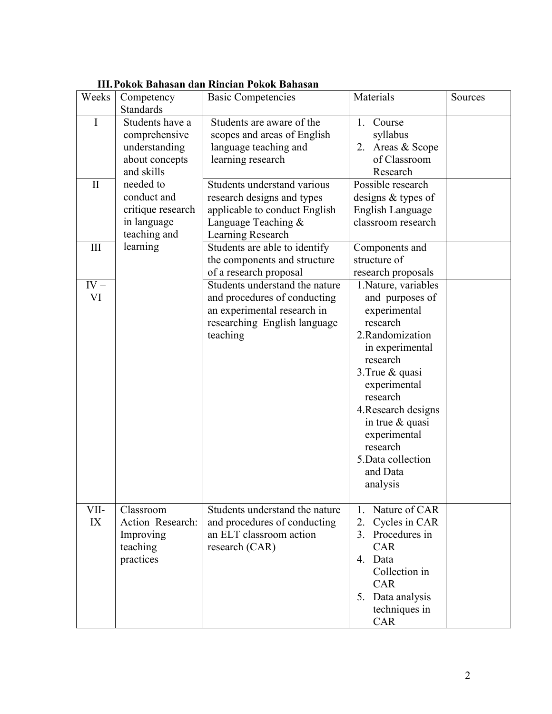| Weeks        | Competency<br>Standards                                                           | <b>Basic Competencies</b>                                                                                                                 | Materials                                                                                                                                                                                                                                                                                   | Sources |
|--------------|-----------------------------------------------------------------------------------|-------------------------------------------------------------------------------------------------------------------------------------------|---------------------------------------------------------------------------------------------------------------------------------------------------------------------------------------------------------------------------------------------------------------------------------------------|---------|
| I            | Students have a<br>comprehensive<br>understanding<br>about concepts<br>and skills | Students are aware of the<br>scopes and areas of English<br>language teaching and<br>learning research                                    | Course<br>$1_{-}$<br>syllabus<br>2. Areas & Scope<br>of Classroom<br>Research                                                                                                                                                                                                               |         |
| $\prod$      | needed to<br>conduct and<br>critique research<br>in language<br>teaching and      | Students understand various<br>research designs and types<br>applicable to conduct English<br>Language Teaching &<br>Learning Research    | Possible research<br>designs & types of<br>English Language<br>classroom research                                                                                                                                                                                                           |         |
| III          | learning                                                                          | Students are able to identify<br>the components and structure<br>of a research proposal                                                   | Components and<br>structure of<br>research proposals                                                                                                                                                                                                                                        |         |
| $IV -$<br>VI |                                                                                   | Students understand the nature<br>and procedures of conducting<br>an experimental research in<br>researching English language<br>teaching | 1. Nature, variables<br>and purposes of<br>experimental<br>research<br>2.Randomization<br>in experimental<br>research<br>3. True & quasi<br>experimental<br>research<br>4. Research designs<br>in true $\&$ quasi<br>experimental<br>research<br>5. Data collection<br>and Data<br>analysis |         |
| VII-<br>IX   | Classroom<br>Action Research:<br>Improving<br>teaching<br>practices               | Students understand the nature<br>and procedures of conducting<br>an ELT classroom action<br>research (CAR)                               | 1. Nature of CAR<br>Cycles in CAR<br>2.<br>3. Procedures in<br><b>CAR</b><br>4. Data<br>Collection in<br>CAR<br>5. Data analysis<br>techniques in<br>CAR                                                                                                                                    |         |

# III.Pokok Bahasan dan Rincian Pokok Bahasan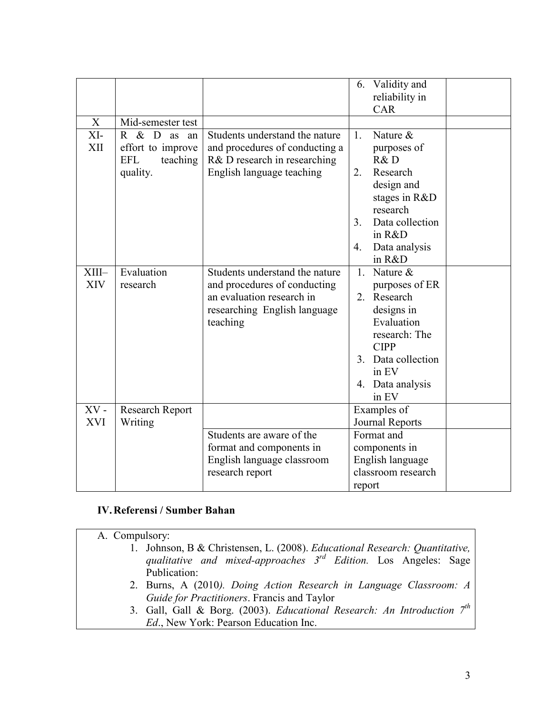|            |                                   |                                |                | 6. Validity and    |  |
|------------|-----------------------------------|--------------------------------|----------------|--------------------|--|
|            |                                   |                                |                | reliability in     |  |
|            |                                   |                                |                | <b>CAR</b>         |  |
| X          | Mid-semester test                 |                                |                |                    |  |
| XI-        | R & D<br>as<br>an                 | Students understand the nature | 1.             | Nature $\&$        |  |
| XII        | effort to improve                 | and procedures of conducting a |                | purposes of        |  |
|            | <b>EFL</b><br>teaching            | R& D research in researching   |                | R&D                |  |
|            | quality.                          | English language teaching      | 2.             | Research           |  |
|            |                                   |                                |                | design and         |  |
|            |                                   |                                |                | stages in R&D      |  |
|            |                                   |                                |                | research           |  |
|            |                                   |                                | 3 <sub>1</sub> | Data collection    |  |
|            |                                   |                                |                | in R&D             |  |
|            |                                   |                                | 4.             | Data analysis      |  |
|            |                                   |                                |                | in R&D             |  |
| XIII-      | Evaluation                        | Students understand the nature |                | 1. Nature &        |  |
| <b>XIV</b> | research                          | and procedures of conducting   |                | purposes of ER     |  |
|            |                                   | an evaluation research in      |                | 2. Research        |  |
|            |                                   | researching English language   |                | designs in         |  |
|            |                                   | teaching                       |                | Evaluation         |  |
|            |                                   |                                |                | research: The      |  |
|            |                                   |                                |                | <b>CIPP</b>        |  |
|            |                                   |                                |                | 3. Data collection |  |
|            |                                   |                                |                | in EV              |  |
|            |                                   |                                |                | 4. Data analysis   |  |
|            |                                   |                                |                | in EV              |  |
| $XV -$     | <b>Research Report</b><br>Writing |                                | Examples of    |                    |  |
| <b>XVI</b> |                                   |                                |                | Journal Reports    |  |
|            |                                   | Students are aware of the      |                | Format and         |  |
|            |                                   | format and components in       |                | components in      |  |
|            |                                   | English language classroom     |                | English language   |  |
|            |                                   | research report                |                | classroom research |  |
|            |                                   |                                | report         |                    |  |

#### IV.Referensi / Sumber Bahan

A. Compulsory: 1. Johnson, B & Christensen, L. (2008). Educational Research: Quantitative, qualitative and mixed-approaches  $3^{rd}$  Edition. Los Angeles: Sage Publication: 2. Burns, A (2010). Doing Action Research in Language Classroom: A Guide for Practitioners. Francis and Taylor 3. Gall, Gall & Borg. (2003). Educational Research: An Introduction  $7<sup>th</sup>$ Ed., New York: Pearson Education Inc.